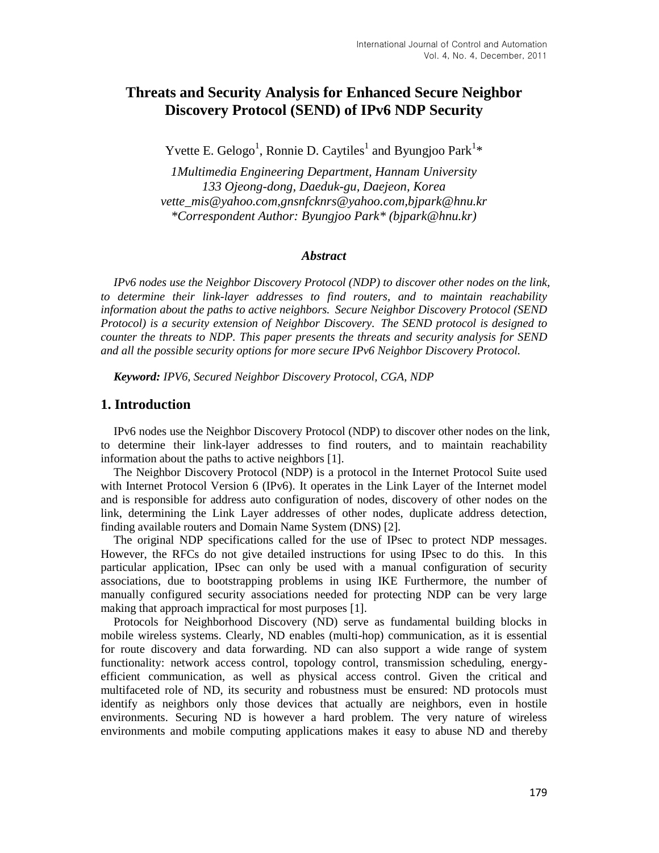# **Threats and Security Analysis for Enhanced Secure Neighbor Discovery Protocol (SEND) of IPv6 NDP Security**

Yvette E. Gelogo<sup>1</sup>, Ronnie D. Caytiles<sup>1</sup> and Byungjoo Park<sup>1\*</sup>

*1Multimedia Engineering Department, Hannam University 133 Ojeong-dong, Daeduk-gu, Daejeon, Korea vette\_mis@yahoo.com,gnsnfcknrs@yahoo.com,bjpark@hnu.kr \*Correspondent Author: Byungjoo Park\* (bjpark@hnu.kr)*

#### *Abstract*

*IPv6 nodes use the Neighbor Discovery Protocol (NDP) to discover other nodes on the link, to determine their link-layer addresses to find routers, and to maintain reachability information about the paths to active neighbors. Secure Neighbor Discovery Protocol (SEND Protocol) is a security extension of Neighbor Discovery. The SEND protocol is designed to counter the threats to NDP. This paper presents the threats and security analysis for SEND and all the possible security options for more secure IPv6 Neighbor Discovery Protocol.*

*Keyword: IPV6, Secured Neighbor Discovery Protocol, CGA, NDP*

#### **1. Introduction**

IPv6 nodes use the Neighbor Discovery Protocol (NDP) to discover other nodes on the link, to determine their link-layer addresses to find routers, and to maintain reachability information about the paths to active neighbors [1].

The Neighbor Discovery Protocol (NDP) is a protocol in the Internet Protocol Suite used with Internet Protocol Version 6 (IPv6). It operates in the Link Layer of the Internet model and is responsible for address auto configuration of nodes, discovery of other nodes on the link, determining the Link Layer addresses of other nodes, duplicate address detection, finding available routers and Domain Name System (DNS) [2].

The original NDP specifications called for the use of IPsec to protect NDP messages. However, the RFCs do not give detailed instructions for using IPsec to do this. In this particular application, IPsec can only be used with a manual configuration of security associations, due to bootstrapping problems in using IKE Furthermore, the number of manually configured security associations needed for protecting NDP can be very large making that approach impractical for most purposes [1].

Protocols for Neighborhood Discovery (ND) serve as fundamental building blocks in mobile wireless systems. Clearly, ND enables (multi-hop) communication, as it is essential for route discovery and data forwarding. ND can also support a wide range of system functionality: network access control, topology control, transmission scheduling, energyefficient communication, as well as physical access control. Given the critical and multifaceted role of ND, its security and robustness must be ensured: ND protocols must identify as neighbors only those devices that actually are neighbors, even in hostile environments. Securing ND is however a hard problem. The very nature of wireless environments and mobile computing applications makes it easy to abuse ND and thereby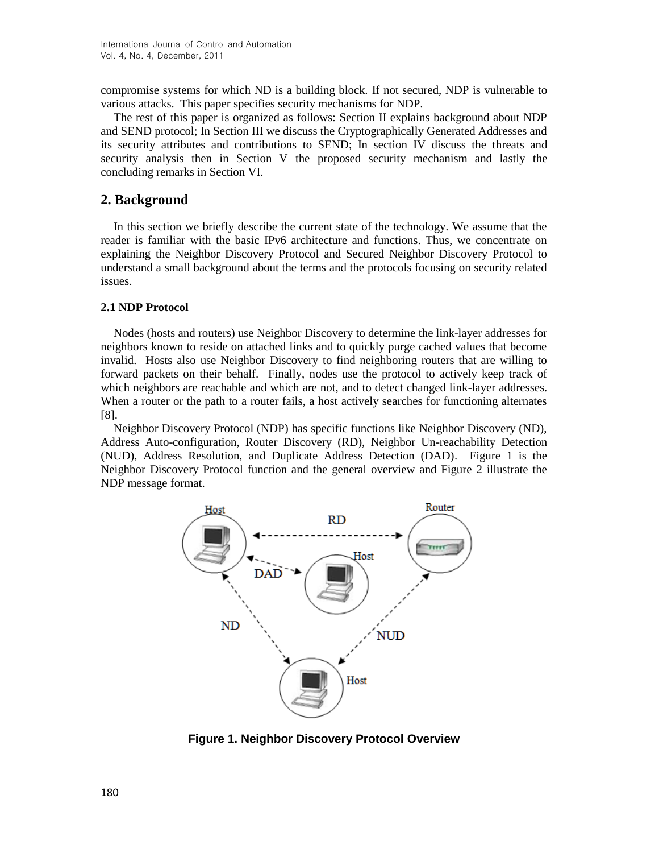compromise systems for which ND is a building block. If not secured, NDP is vulnerable to various attacks. This paper specifies security mechanisms for NDP.

The rest of this paper is organized as follows: Section II explains background about NDP and SEND protocol; In Section III we discuss the Cryptographically Generated Addresses and its security attributes and contributions to SEND; In section IV discuss the threats and security analysis then in Section V the proposed security mechanism and lastly the concluding remarks in Section VI.

## **2. Background**

In this section we briefly describe the current state of the technology. We assume that the reader is familiar with the basic IPv6 architecture and functions. Thus, we concentrate on explaining the Neighbor Discovery Protocol and Secured Neighbor Discovery Protocol to understand a small background about the terms and the protocols focusing on security related issues.

## **2.1 NDP Protocol**

Nodes (hosts and routers) use Neighbor Discovery to determine the link-layer addresses for neighbors known to reside on attached links and to quickly purge cached values that become invalid. Hosts also use Neighbor Discovery to find neighboring routers that are willing to forward packets on their behalf. Finally, nodes use the protocol to actively keep track of which neighbors are reachable and which are not, and to detect changed link-layer addresses. When a router or the path to a router fails, a host actively searches for functioning alternates [8].

Neighbor Discovery Protocol (NDP) has specific functions like Neighbor Discovery (ND), Address Auto-configuration, Router Discovery (RD), Neighbor Un-reachability Detection (NUD), Address Resolution, and Duplicate Address Detection (DAD). Figure 1 is the Neighbor Discovery Protocol function and the general overview and Figure 2 illustrate the NDP message format.



**Figure 1. Neighbor Discovery Protocol Overview**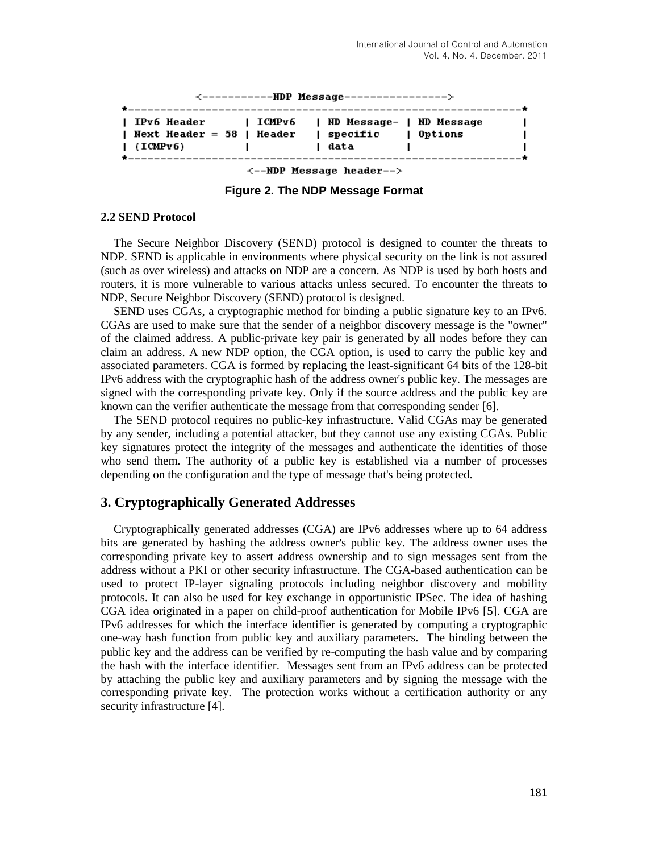| $\leftarrow$ ------------NDP Message---------------->                                    |  |                    |  |
|------------------------------------------------------------------------------------------|--|--------------------|--|
|                                                                                          |  |                    |  |
| IPv6 Header         ICMPv6       ND Message-   ND Message<br>  Next Header = 58   Header |  | specific   Options |  |
| $\blacksquare$ (ICMPv6)                                                                  |  | l data             |  |
| --------------------------------------                                                   |  |                    |  |
|                                                                                          |  |                    |  |

 $\leftarrow$ -NDP Message header-->

**Figure 2. The NDP Message Format**

#### **2.2 SEND Protocol**

The Secure Neighbor Discovery (SEND) protocol is designed to counter the threats to NDP. SEND is applicable in environments where physical security on the link is not assured (such as over wireless) and attacks on NDP are a concern. As NDP is used by both hosts and routers, it is more vulnerable to various attacks unless secured. To encounter the threats to NDP, Secure Neighbor Discovery (SEND) protocol is designed.

SEND uses CGAs, a cryptographic method for binding a public signature key to an IPv6. CGAs are used to make sure that the sender of a neighbor discovery message is the "owner" of the claimed address. A public-private key pair is generated by all nodes before they can claim an address. A new NDP option, the CGA option, is used to carry the public key and associated parameters. CGA is formed by replacing the least-significant 64 bits of the 128-bit IPv6 address with the cryptographic hash of the address owner's public key. The messages are signed with the corresponding private key. Only if the source address and the public key are known can the verifier authenticate the message from that corresponding sender [6].

The SEND protocol requires no public-key infrastructure. Valid CGAs may be generated by any sender, including a potential attacker, but they cannot use any existing CGAs. Public key signatures protect the integrity of the messages and authenticate the identities of those who send them. The authority of a public key is established via a number of processes depending on the configuration and the type of message that's being protected.

## **3. Cryptographically Generated Addresses**

Cryptographically generated addresses (CGA) are IPv6 addresses where up to 64 address bits are generated by hashing the address owner's public key. The address owner uses the corresponding private key to assert address ownership and to sign messages sent from the address without a PKI or other security infrastructure. The CGA-based authentication can be used to protect IP-layer signaling protocols including neighbor discovery and mobility protocols. It can also be used for key exchange in opportunistic IPSec. The idea of hashing CGA idea originated in a paper on child-proof authentication for Mobile IPv6 [5]. CGA are IPv6 addresses for which the interface identifier is generated by computing a cryptographic one-way hash function from public key and auxiliary parameters. The binding between the public key and the address can be verified by re-computing the hash value and by comparing the hash with the interface identifier. Messages sent from an IPv6 address can be protected by attaching the public key and auxiliary parameters and by signing the message with the corresponding private key. The protection works without a certification authority or any security infrastructure [4].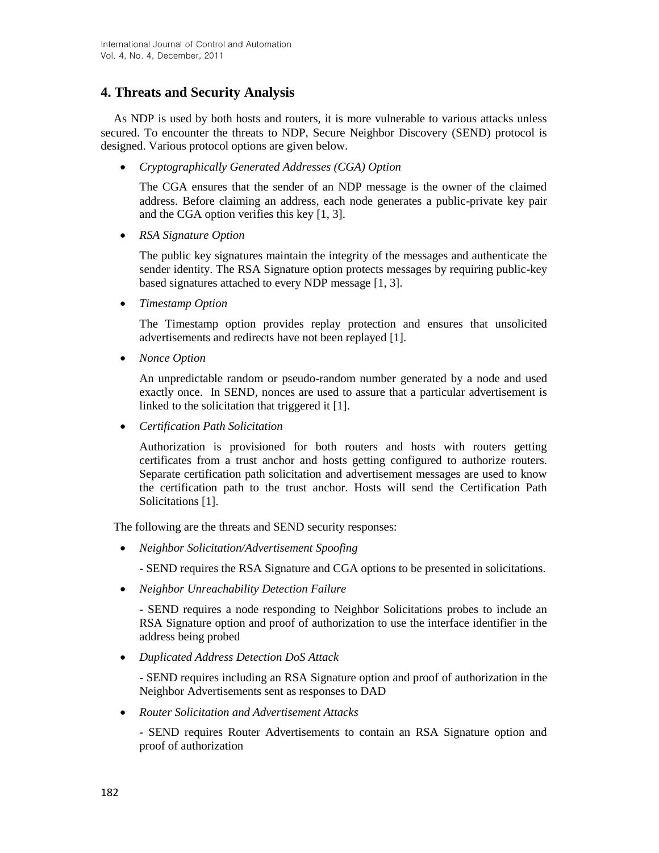# **4. Threats and Security Analysis**

As NDP is used by both hosts and routers, it is more vulnerable to various attacks unless secured. To encounter the threats to NDP, Secure Neighbor Discovery (SEND) protocol is designed. Various protocol options are given below.

*Cryptographically Generated Addresses (CGA) Option*

The CGA ensures that the sender of an NDP message is the owner of the claimed address. Before claiming an address, each node generates a public-private key pair and the CGA option verifies this key [1, 3].

*RSA Signature Option*

The public key signatures maintain the integrity of the messages and authenticate the sender identity. The RSA Signature option protects messages by requiring public-key based signatures attached to every NDP message [1, 3].

*Timestamp Option*

The Timestamp option provides replay protection and ensures that unsolicited advertisements and redirects have not been replayed [1].

*Nonce Option*

An unpredictable random or pseudo-random number generated by a node and used exactly once. In SEND, nonces are used to assure that a particular advertisement is linked to the solicitation that triggered it [1].

*Certification Path Solicitation*

Authorization is provisioned for both routers and hosts with routers getting certificates from a trust anchor and hosts getting configured to authorize routers. Separate certification path solicitation and advertisement messages are used to know the certification path to the trust anchor. Hosts will send the Certification Path Solicitations [1].

The following are the threats and SEND security responses:

*Neighbor Solicitation/Advertisement Spoofing*

- SEND requires the RSA Signature and CGA options to be presented in solicitations.

*Neighbor Unreachability Detection Failure*

- SEND requires a node responding to Neighbor Solicitations probes to include an RSA Signature option and proof of authorization to use the interface identifier in the address being probed

*Duplicated Address Detection DoS Attack*

- SEND requires including an RSA Signature option and proof of authorization in the Neighbor Advertisements sent as responses to DAD

*Router Solicitation and Advertisement Attacks*

- SEND requires Router Advertisements to contain an RSA Signature option and proof of authorization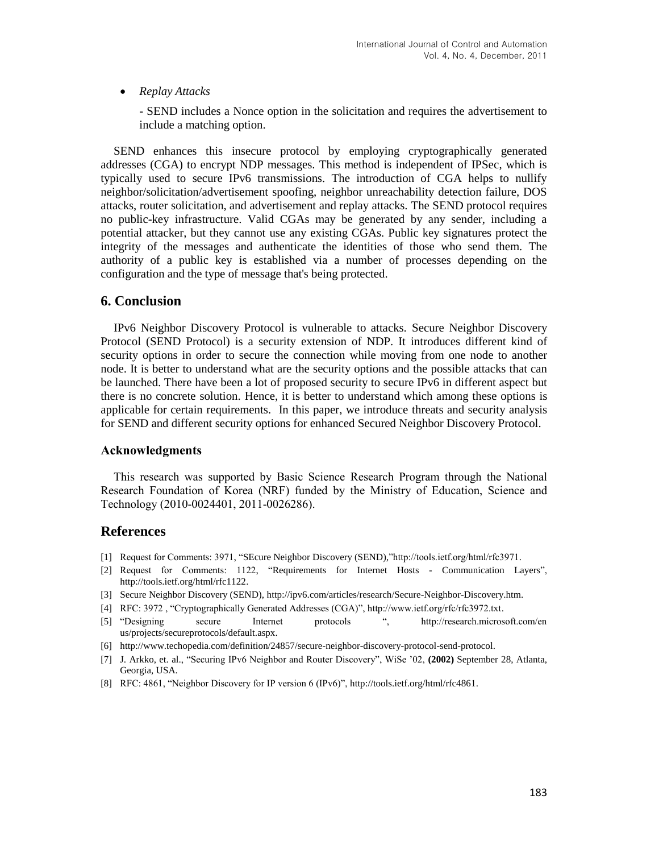#### *Replay Attacks*

- SEND includes a Nonce option in the solicitation and requires the advertisement to include a matching option.

SEND enhances this insecure protocol by employing cryptographically generated addresses (CGA) to encrypt NDP messages. This method is independent of IPSec, which is typically used to secure IPv6 transmissions. The introduction of CGA helps to nullify neighbor/solicitation/advertisement spoofing, neighbor unreachability detection failure, DOS attacks, router solicitation, and advertisement and replay attacks. The SEND protocol requires no public-key infrastructure. Valid CGAs may be generated by any sender, including a potential attacker, but they cannot use any existing CGAs. Public key signatures protect the integrity of the messages and authenticate the identities of those who send them. The authority of a public key is established via a number of processes depending on the configuration and the type of message that's being protected.

## **6. Conclusion**

IPv6 Neighbor Discovery Protocol is vulnerable to attacks. Secure Neighbor Discovery Protocol (SEND Protocol) is a security extension of NDP. It introduces different kind of security options in order to secure the connection while moving from one node to another node. It is better to understand what are the security options and the possible attacks that can be launched. There have been a lot of proposed security to secure IPv6 in different aspect but there is no concrete solution. Hence, it is better to understand which among these options is applicable for certain requirements. In this paper, we introduce threats and security analysis for SEND and different security options for enhanced Secured Neighbor Discovery Protocol.

#### **Acknowledgments**

This research was supported by Basic Science Research Program through the National Research Foundation of Korea (NRF) funded by the Ministry of Education, Science and Technology (2010-0024401, 2011-0026286).

## **References**

- [1] Request for Comments: 3971, "SEcure Neighbor Discovery (SEND),"http://tools.ietf.org/html/rfc3971.
- [2] Request for Comments: 1122, "Requirements for Internet Hosts Communication Layers", http://tools.ietf.org/html/rfc1122.
- [3] Secure Neighbor Discovery (SEND), http://ipv6.com/articles/research/Secure-Neighbor-Discovery.htm.
- [4] RFC: 3972 , "Cryptographically Generated Addresses (CGA)", http://www.ietf.org/rfc/rfc3972.txt.
- [5] "Designing secure Internet protocols ", http://research.microsoft.com/en us/projects/secureprotocols/default.aspx.
- [6] http://www.techopedia.com/definition/24857/secure-neighbor-discovery-protocol-send-protocol.
- [7] J. Arkko, et. al., "Securing IPv6 Neighbor and Router Discovery", WiSe '02, **(2002)** September 28, Atlanta, Georgia, USA.
- [8] RFC: 4861, "Neighbor Discovery for IP version 6 (IPv6)", http://tools.ietf.org/html/rfc4861.